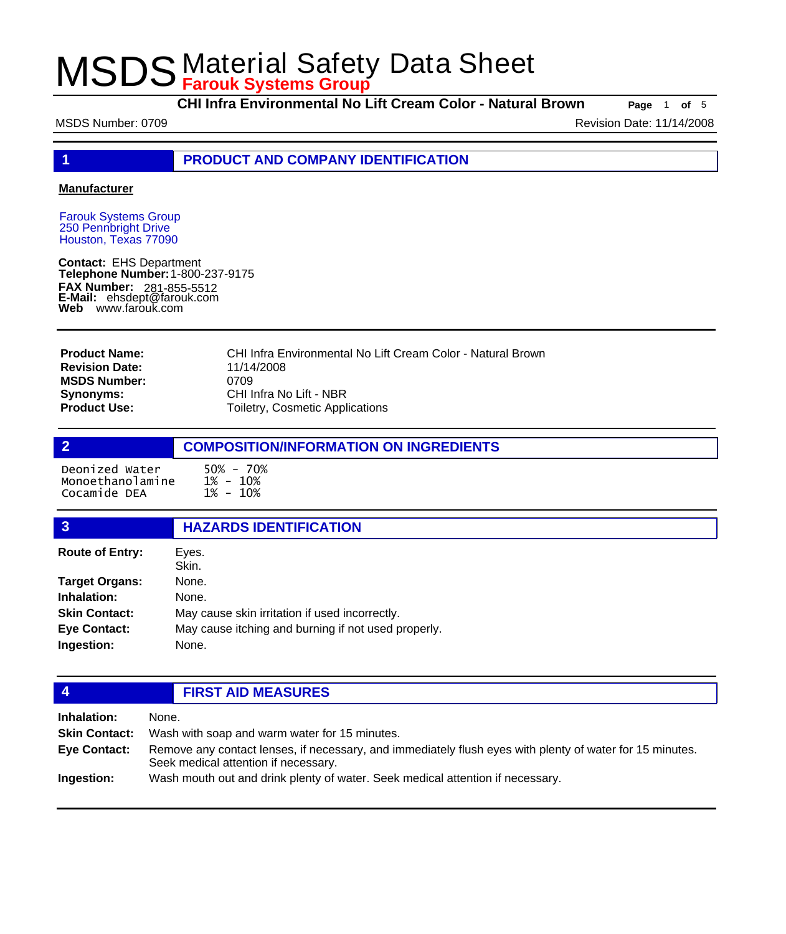**CHI Infra Environmental No Lift Cream Color - Natural Brown Page** <sup>1</sup> **of** <sup>5</sup>

MSDS Number: 0709 **Revision Date: 11/14/2008** Revision Date: 11/14/2008

**1 PRODUCT AND COMPANY IDENTIFICATION**

#### **Manufacturer**

Farouk Systems Group 250 Pennbright Drive Houston, Texas 77090

**Contact:** EHS Department **Telephone Number:** 1-800-237-9175 **FAX Number: FAX Number:** 281-855-5512<br>**E-Mail:** ehsdept@farouk.com **Web** www.farouk.com

CHI Infra Environmental No Lift Cream Color - Natural Brown 11/14/2008 0709 CHI Infra No Lift - NBR Toiletry, Cosmetic Applications **Product Name: Revision Date: MSDS Number: Synonyms: Product Use:**

## **2 COMPOSITION/INFORMATION ON INGREDIENTS** Deonized Water 50% - 70% Monoethanolamine Cocamide DEA

| 3                      | <b>HAZARDS IDENTIFICATION</b>                       |
|------------------------|-----------------------------------------------------|
| <b>Route of Entry:</b> | Eyes.<br>Skin.                                      |
| <b>Target Organs:</b>  | None.                                               |
| Inhalation:            | None.                                               |
| <b>Skin Contact:</b>   | May cause skin irritation if used incorrectly.      |
| <b>Eye Contact:</b>    | May cause itching and burning if not used properly. |
| Ingestion:             | None.                                               |
|                        |                                                     |

### **4 FIRST AID MEASURES**

| Inhalation:          | None.                                                                                                                                            |  |
|----------------------|--------------------------------------------------------------------------------------------------------------------------------------------------|--|
| <b>Skin Contact:</b> | Wash with soap and warm water for 15 minutes.                                                                                                    |  |
| <b>Eve Contact:</b>  | Remove any contact lenses, if necessary, and immediately flush eyes with plenty of water for 15 minutes.<br>Seek medical attention if necessary. |  |
| Ingestion:           | Wash mouth out and drink plenty of water. Seek medical attention if necessary.                                                                   |  |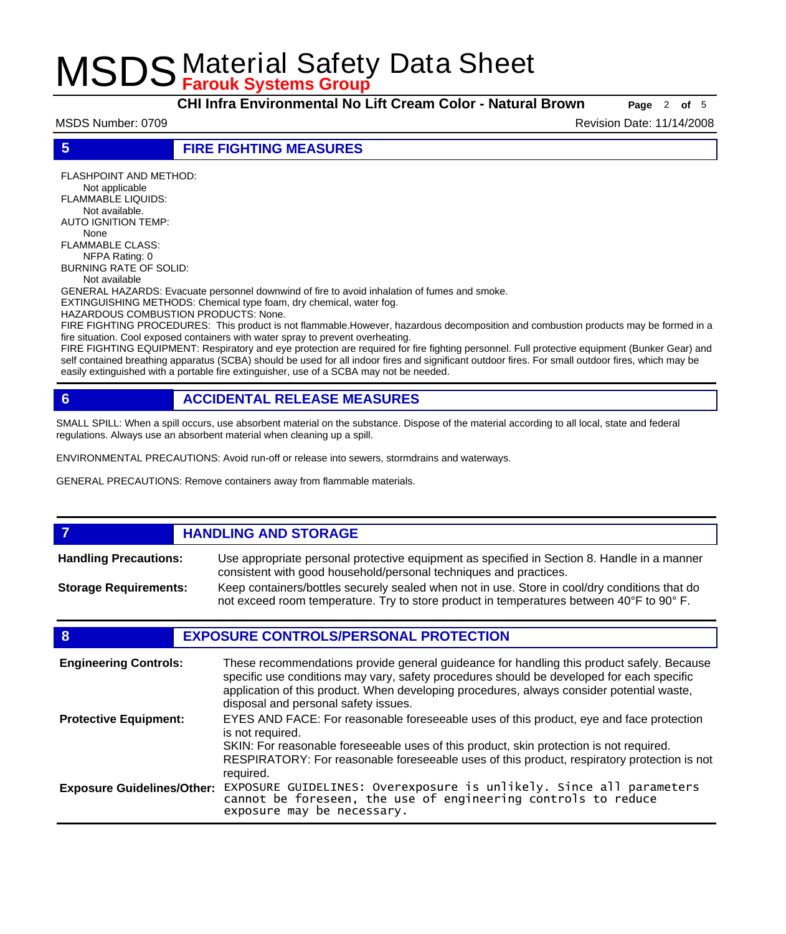**CHI Infra Environmental No Lift Cream Color - Natural Brown Page** <sup>2</sup> **of** <sup>5</sup>

MSDS Number: 0709 **Revision Date: 11/14/2008** Revision Date: 11/14/2008

**5 FIRE FIGHTING MEASURES**

FLASHPOINT AND METHOD: Not applicable FLAMMABLE LIQUIDS: Not available. AUTO IGNITION TEMP: None FLAMMABLE CLASS: NFPA Rating: 0 BURNING RATE OF SOLID: Not available GENERAL HAZARDS: Evacuate personnel downwind of fire to avoid inhalation of fumes and smoke. EXTINGUISHING METHODS: Chemical type foam, dry chemical, water fog. HAZARDOUS COMBUSTION PRODUCTS: None. FIRE FIGHTING PROCEDURES: This product is not flammable.However, hazardous decomposition and combustion products may be formed in a fire situation. Cool exposed containers with water spray to prevent overheating.

FIRE FIGHTING EQUIPMENT: Respiratory and eye protection are required for fire fighting personnel. Full protective equipment (Bunker Gear) and self contained breathing apparatus (SCBA) should be used for all indoor fires and significant outdoor fires. For small outdoor fires, which may be easily extinguished with a portable fire extinguisher, use of a SCBA may not be needed.

## **6 ACCIDENTAL RELEASE MEASURES**

SMALL SPILL: When a spill occurs, use absorbent material on the substance. Dispose of the material according to all local, state and federal regulations. Always use an absorbent material when cleaning up a spill.

ENVIRONMENTAL PRECAUTIONS: Avoid run-off or release into sewers, stormdrains and waterways.

GENERAL PRECAUTIONS: Remove containers away from flammable materials.

#### *HANDLING AND STORAGE* Use appropriate personal protective equipment as specified in Section 8. Handle in a manner consistent with good household/personal techniques and practices. **Handling Precautions:** Keep containers/bottles securely sealed when not in use. Store in cool/dry conditions that do not exceed room temperature. Try to store product in temperatures between 40°F to 90° F. **Storage Requirements:**

### **8 EXPOSURE CONTROLS/PERSONAL PROTECTION**

| <b>Engineering Controls:</b>      | These recommendations provide general guideance for handling this product safely. Because<br>specific use conditions may vary, safety procedures should be developed for each specific<br>application of this product. When developing procedures, always consider potential waste,<br>disposal and personal safety issues. |
|-----------------------------------|-----------------------------------------------------------------------------------------------------------------------------------------------------------------------------------------------------------------------------------------------------------------------------------------------------------------------------|
| <b>Protective Equipment:</b>      | EYES AND FACE: For reasonable foreseeable uses of this product, eye and face protection<br>is not required.<br>SKIN: For reasonable foreseeable uses of this product, skin protection is not required.<br>RESPIRATORY: For reasonable foreseeable uses of this product, respiratory protection is not<br>required.          |
| <b>Exposure Guidelines/Other:</b> | EXPOSURE GUIDELINES: Overexposure is unlikely. Since all parameters cannot be foreseen, the use of engineering controls to reduce<br>exposure may be necessary.                                                                                                                                                             |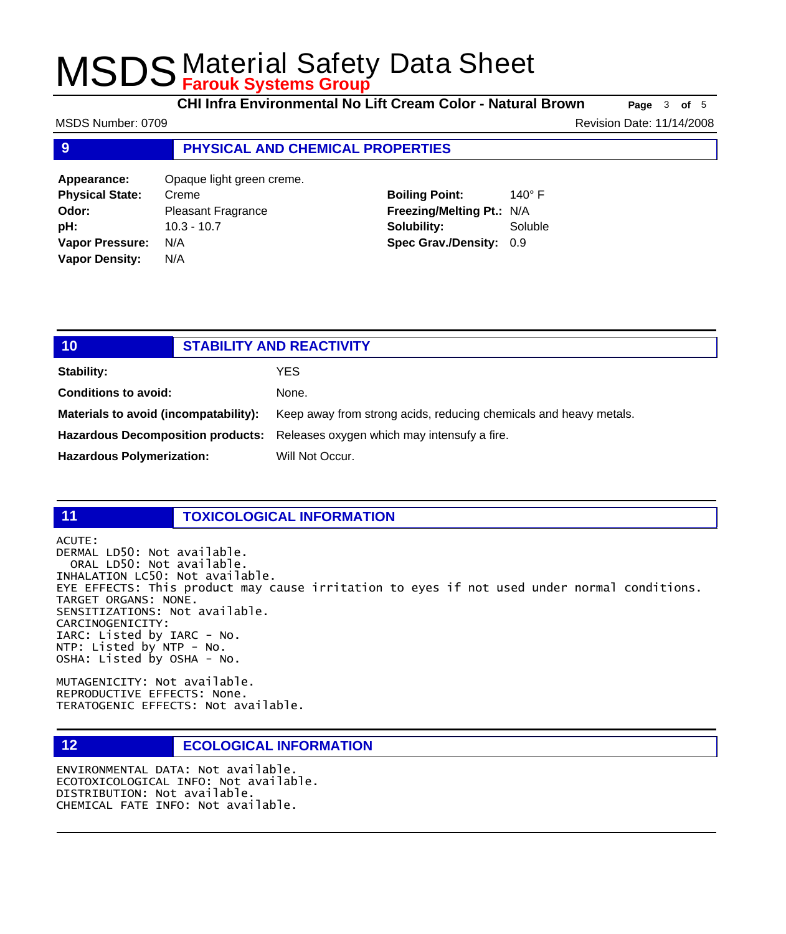**CHI Infra Environmental No Lift Cream Color - Natural Brown Page** <sup>3</sup> **of** <sup>5</sup>

**9 PHYSICAL AND CHEMICAL PROPERTIES Appearance:** Opaque light green creme. **Physical State:** Creme **Odor:** Pleasant Fragrance **Boiling Point:** 140° F **Freezing/Melting Pt.:** N/A MSDS Number: 0709 **Revision Date: 11/14/2008** Revision Date: 11/14/2008

**10 STABILITY AND REACTIVITY Stability:** YES **Conditions to avoid:** None. **Materials to avoid (incompatability):** Keep away from strong acids, reducing chemicals and heavy metals. **Hazardous Decomposition products:** Releases oxygen which may intensufy a fire. Hazardous Polymerization: Will Not Occur.

## **11 TOXICOLOGICAL INFORMATION**

ACUTE:

DERMAL LD50: Not available. ORAL LD50: Not available. INHALATION LC50: Not available. EYE EFFECTS: This product may cause irritation to eyes if not used under normal conditions. TARGET ORGANS: NONE. SENSITIZATIONS: Not available. CARCINOGENICITY: IARC: Listed by IARC - No. NTP: Listed by NTP - No. OSHA: Listed by OSHA - No.

MUTAGENICITY: Not available. REPRODUCTIVE EFFECTS: None. TERATOGENIC EFFECTS: Not available.

### **12 ECOLOGICAL INFORMATION**

ENVIRONMENTAL DATA: Not available. ECOTOXICOLOGICAL INFO: Not available. DISTRIBUTION: Not available. CHEMICAL FATE INFO: Not available.

**pH:** 10.3 - 10.7 **Vapor Pressure:** N/A **Vapor Density:** N/A

**Solubility:** Soluble **Spec Grav./Density:** 0.9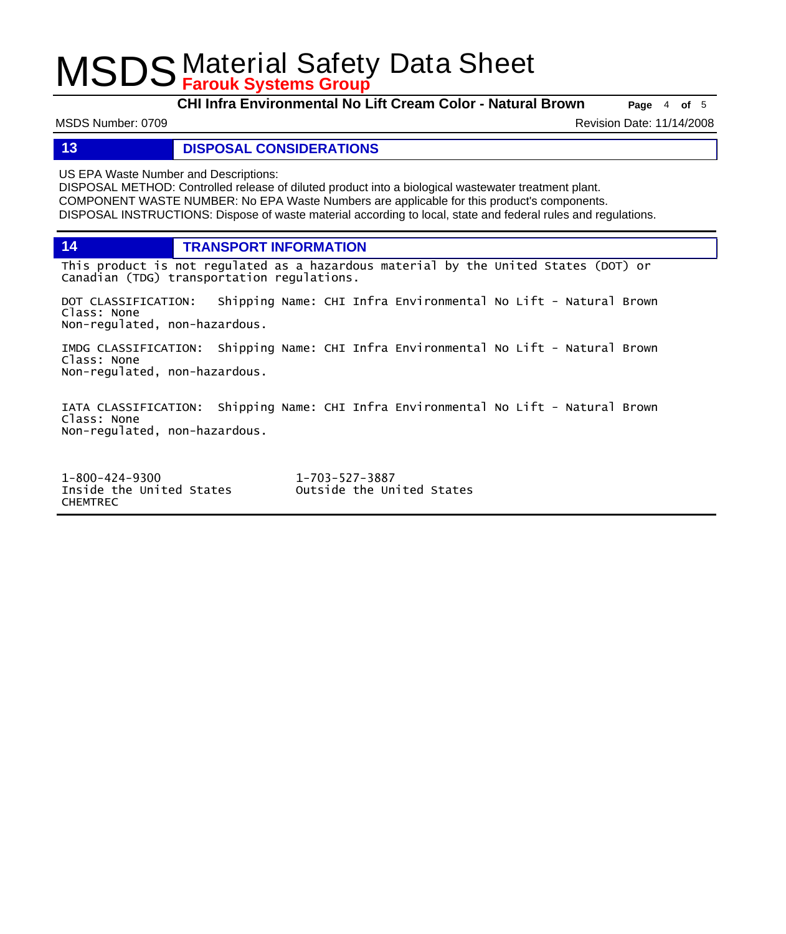**CHI Infra Environmental No Lift Cream Color - Natural Brown Page** <sup>4</sup> **of** <sup>5</sup>

MSDS Number: 0709 **Revision Date: 11/14/2008** Revision Date: 11/14/2008

**13 DISPOSAL CONSIDERATIONS**

US EPA Waste Number and Descriptions:

DISPOSAL METHOD: Controlled release of diluted product into a biological wastewater treatment plant. COMPONENT WASTE NUMBER: No EPA Waste Numbers are applicable for this product's components. DISPOSAL INSTRUCTIONS: Dispose of waste material according to local, state and federal rules and regulations.

**14 TRANSPORT INFORMATION**

This product is not regulated as a hazardous material by the United States (DOT) or Canadian (TDG) transportation regulations.

DOT CLASSIFICATION: Shipping Name: CHI Infra Environmental No Lift - Natural Brown Class: None Non-regulated, non-hazardous.

IMDG CLASSIFICATION: Shipping Name: CHI Infra Environmental No Lift - Natural Brown Class: None Non-regulated, non-hazardous.

IATA CLASSIFICATION: Shipping Name: CHI Infra Environmental No Lift - Natural Brown Class: None Non-regulated, non-hazardous.

1-800-424-9300 1-703-527-3887 Outside the United States CHEMTREC